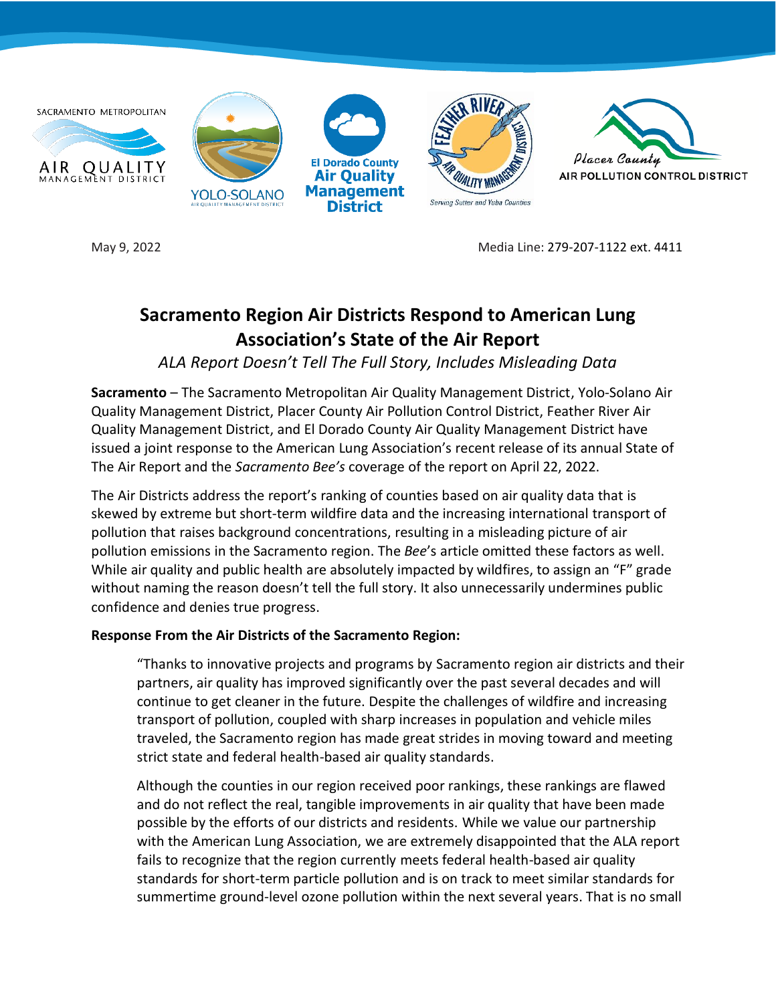

May 9, 2022 Media Line: 279-207-1122 ext. 4411

# **Sacramento Region Air Districts Respond to American Lung Association's State of the Air Report**

*ALA Report Doesn't Tell The Full Story, Includes Misleading Data*

**Sacramento** – The Sacramento Metropolitan Air Quality Management District, Yolo-Solano Air Quality Management District, Placer County Air Pollution Control District, Feather River Air Quality Management District, and El Dorado County Air Quality Management District have issued a joint response to the American Lung Association's recent release of its annual State of The Air Report and the *Sacramento Bee's* coverage of the report on April 22, 2022.

The Air Districts address the report's ranking of counties based on air quality data that is skewed by extreme but short-term wildfire data and the increasing international transport of pollution that raises background concentrations, resulting in a misleading picture of air pollution emissions in the Sacramento region. The *Bee*'s article omitted these factors as well. While air quality and public health are absolutely impacted by wildfires, to assign an "F" grade without naming the reason doesn't tell the full story. It also unnecessarily undermines public confidence and denies true progress.

#### **Response From the Air Districts of the Sacramento Region:**

"Thanks to innovative projects and programs by Sacramento region air districts and their partners, air quality has improved significantly over the past several decades and will continue to get cleaner in the future. Despite the challenges of wildfire and increasing transport of pollution, coupled with sharp increases in population and vehicle miles traveled, the Sacramento region has made great strides in moving toward and meeting strict state and federal health-based air quality standards.

Although the counties in our region received poor rankings, these rankings are flawed and do not reflect the real, tangible improvements in air quality that have been made possible by the efforts of our districts and residents. While we value our partnership with the American Lung Association, we are extremely disappointed that the ALA report fails to recognize that the region currently meets federal health-based air quality standards for short-term particle pollution and is on track to meet similar standards for summertime ground-level ozone pollution within the next several years. That is no small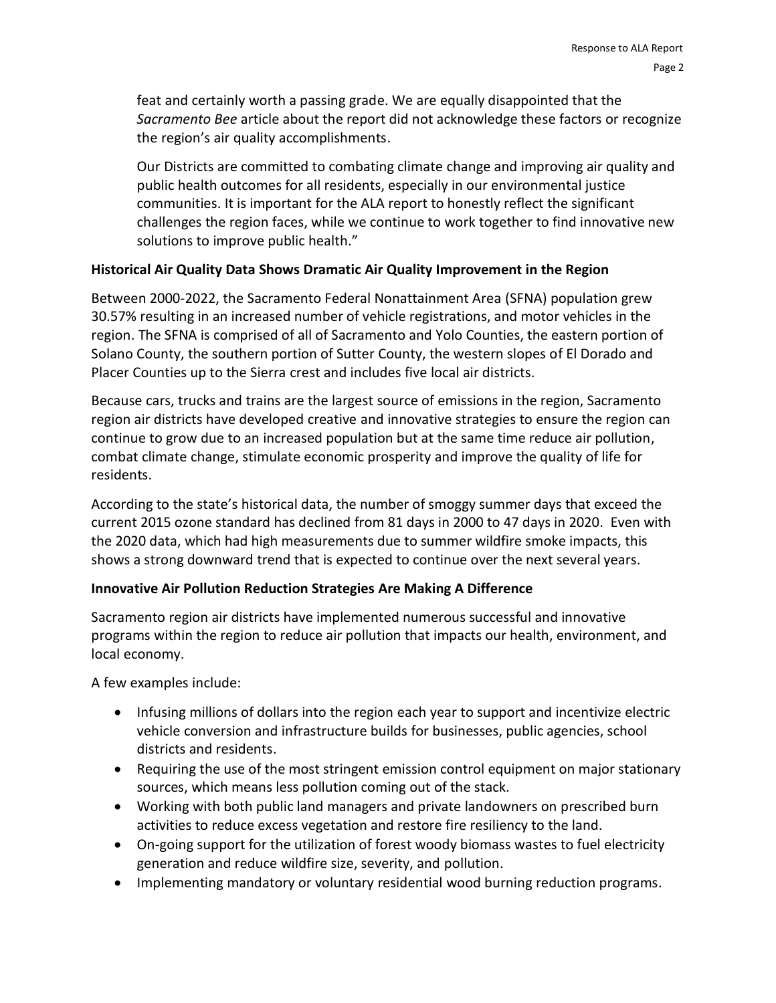feat and certainly worth a passing grade. We are equally disappointed that the *Sacramento Bee* article about the report did not acknowledge these factors or recognize the region's air quality accomplishments.

Our Districts are committed to combating climate change and improving air quality and public health outcomes for all residents, especially in our environmental justice communities. It is important for the ALA report to honestly reflect the significant challenges the region faces, while we continue to work together to find innovative new solutions to improve public health."

## **Historical Air Quality Data Shows Dramatic Air Quality Improvement in the Region**

Between 2000-2022, the Sacramento Federal Nonattainment Area (SFNA) population grew 30.57% resulting in an increased number of vehicle registrations, and motor vehicles in the region. The SFNA is comprised of all of Sacramento and Yolo Counties, the eastern portion of Solano County, the southern portion of Sutter County, the western slopes of El Dorado and Placer Counties up to the Sierra crest and includes five local air districts.

Because cars, trucks and trains are the largest source of emissions in the region, Sacramento region air districts have developed creative and innovative strategies to ensure the region can continue to grow due to an increased population but at the same time reduce air pollution, combat climate change, stimulate economic prosperity and improve the quality of life for residents.

According to the state's historical data, the number of smoggy summer days that exceed the current 2015 ozone standard has declined from 81 days in 2000 to 47 days in 2020. Even with the 2020 data, which had high measurements due to summer wildfire smoke impacts, this shows a strong downward trend that is expected to continue over the next several years.

# **Innovative Air Pollution Reduction Strategies Are Making A Difference**

Sacramento region air districts have implemented numerous successful and innovative programs within the region to reduce air pollution that impacts our health, environment, and local economy.

A few examples include:

- Infusing millions of dollars into the region each year to support and incentivize electric vehicle conversion and infrastructure builds for businesses, public agencies, school districts and residents.
- Requiring the use of the most stringent emission control equipment on major stationary sources, which means less pollution coming out of the stack.
- Working with both public land managers and private landowners on prescribed burn activities to reduce excess vegetation and restore fire resiliency to the land.
- On-going support for the utilization of forest woody biomass wastes to fuel electricity generation and reduce wildfire size, severity, and pollution.
- Implementing mandatory or voluntary residential wood burning reduction programs.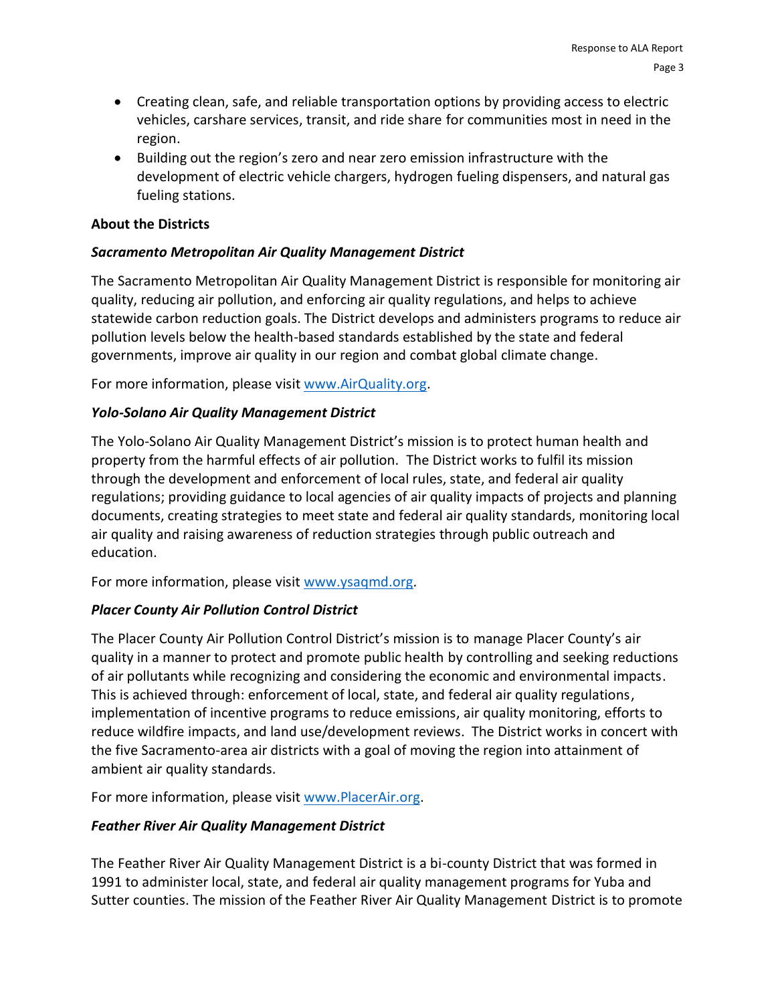- Creating clean, safe, and reliable transportation options by providing access to electric vehicles, carshare services, transit, and ride share for communities most in need in the region.
- Building out the region's zero and near zero emission infrastructure with the development of electric vehicle chargers, hydrogen fueling dispensers, and natural gas fueling stations.

#### **About the Districts**

## *Sacramento Metropolitan Air Quality Management District*

The Sacramento Metropolitan Air Quality Management District is responsible for monitoring air quality, reducing air pollution, and enforcing air quality regulations, and helps to achieve statewide carbon reduction goals. The District develops and administers programs to reduce air pollution levels below the health-based standards established by the state and federal governments, improve air quality in our region and combat global climate change.

For more information, please visi[t www.AirQuality.org.](http://www.airquality.org/)

## *Yolo-Solano Air Quality Management District*

The Yolo-Solano Air Quality Management District's mission is to protect human health and property from the harmful effects of air pollution. The District works to fulfil its mission through the development and enforcement of local rules, state, and federal air quality regulations; providing guidance to local agencies of air quality impacts of projects and planning documents, creating strategies to meet state and federal air quality standards, monitoring local air quality and raising awareness of reduction strategies through public outreach and education.

For more information, please visi[t www.ysaqmd.org.](http://www.ysaqmd.org/)

# *Placer County Air Pollution Control District*

The Placer County Air Pollution Control District's mission is to manage Placer County's air quality in a manner to protect and promote public health by controlling and seeking reductions of air pollutants while recognizing and considering the economic and environmental impacts. This is achieved through: enforcement of local, state, and federal air quality regulations, implementation of incentive programs to reduce emissions, air quality monitoring, efforts to reduce wildfire impacts, and land use/development reviews. The District works in concert with the five Sacramento-area air districts with a goal of moving the region into attainment of ambient air quality standards.

For more information, please visi[t www.PlacerAir.org.](http://www.placerair.org/)

# *Feather River Air Quality Management District*

The Feather River Air Quality Management District is a bi-county District that was formed in 1991 to administer local, state, and federal air quality management programs for Yuba and Sutter counties. The mission of the Feather River Air Quality Management District is to promote